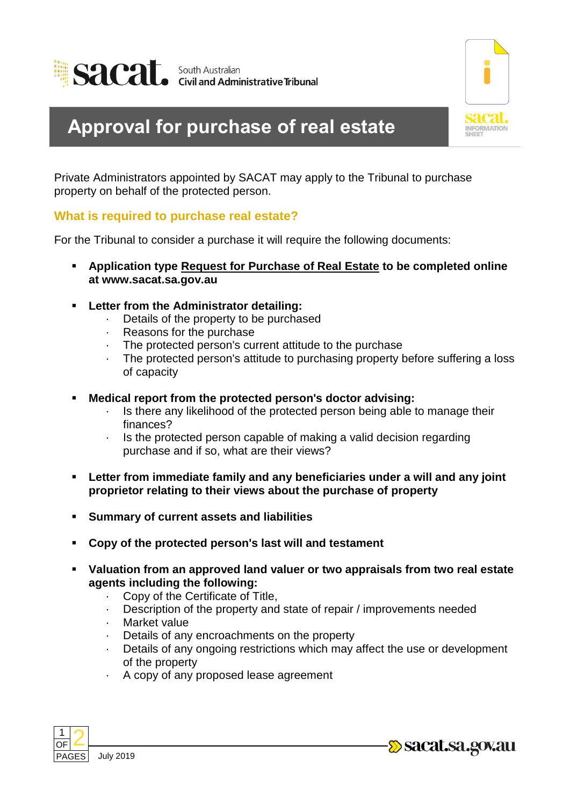



## **Approval for purchase of real estate**

Private Administrators appointed by SACAT may apply to the Tribunal to purchase property on behalf of the protected person.

## **What is required to purchase real estate?**

For the Tribunal to consider a purchase it will require the following documents:

- **Application type Request for Purchase of Real Estate to be completed online at www.sacat.sa.gov.au**
- **Letter from the Administrator detailing:**
	- · Details of the property to be purchased
	- · Reasons for the purchase
	- · The protected person's current attitude to the purchase
	- The protected person's attitude to purchasing property before suffering a loss of capacity
- **Medical report from the protected person's doctor advising:**
	- · Is there any likelihood of the protected person being able to manage their finances?
	- Is the protected person capable of making a valid decision regarding purchase and if so, what are their views?
- **Letter from immediate family and any beneficiaries under a will and any joint proprietor relating to their views about the purchase of property**
- **Summary of current assets and liabilities**
- **Copy of the protected person's last will and testament**
- **Valuation from an approved land valuer or two appraisals from two real estate agents including the following:**
	- · Copy of the Certificate of Title,
	- Description of the property and state of repair / improvements needed
	- · Market value
	- Details of any encroachments on the property
	- Details of any ongoing restrictions which may affect the use or development of the property
	- · A copy of any proposed lease agreement